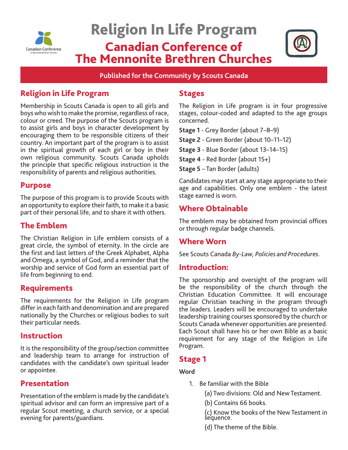

# Religion In Life Program Canadian Conference of The Mennonite Brethren Churches



**Published for the Community by Scouts Canada**

# Religion in Life Program

Membership in Scouts Canada is open to all girls and boys who wish to make the promise, regardless of race, colour or creed. The purpose of the Scouts program is to assist girls and boys in character development by encouraging them to be responsible citizens of their country. An important part of the program is to assist in the spiritual growth of each girl or boy in their own religious community. Scouts Canada upholds the principle that specific religious instruction is the responsibility of parents and religious authorities.

### Purpose

The purpose of this program is to provide Scouts with an opportunity to explore their faith, to make it a basic part of their personal life, and to share it with others.

# The Emblem

The Christian Religion in Life emblem consists of a great circle, the symbol of eternity. In the circle are the first and last letters of the Greek Alphabet, Alpha and Omega, a symbol of God, and a reminder that the worship and service of God form an essential part of life from beginning to end.

### Requirements

The requirements for the Religion in Life program differ in each faith and denomination and are prepared nationally by the Churches or religious bodies to suit their particular needs.

### Instruction

It is the responsibility of the group/section committee and leadership team to arrange for instruction of candidates with the candidate's own spiritual leader or appointee.

# Presentation

Presentation of the emblem is made by the candidate's spiritual advisor and can form an impressive part of a regular Scout meeting, a church service, or a special evening for parents/guardians.

### **Stages**

The Religion in Life program is in four progressive stages, colour-coded and adapted to the age groups concerned.

**Stage 1** - Grey Border (about 7–8–9)

**Stage 2** - Green Border (about 10–11–12)

**Stage 3** - Blue Border (about 13–14–15)

**Stage 4** - Red Border (about 15+)

**Stage 5** – Tan Border (adults)

Candidates may start at any stage appropriate to their age and capabilities. Only one emblem - the latest stage earned is worn.

# Where Obtainable

The emblem may be obtained from provincial offices or through regular badge channels.

# Where Worn

See Scouts Canada *By-Law, Policies and Procedures*.

### Introduction:

The sponsorship and oversight of the program will be the responsibility of the church through the Christian Education Committee. It will encourage regular Christian teaching in the program through the leaders. Leaders will be encouraged to undertake leadership training courses sponsored by the church or Scouts Canada whenever opportunities are presented. Each Scout shall have his or her own Bible as a basic requirement for any stage of the Religion in Life Program.

### Stage 1

### **Word**

- 1. Be familiar with the Bible
	- (a) Two divisions: Old and New Testament.
	- (b) Contains 66 books.

(c) Know the books of the New Testament in sequence.

(d) The theme of the Bible.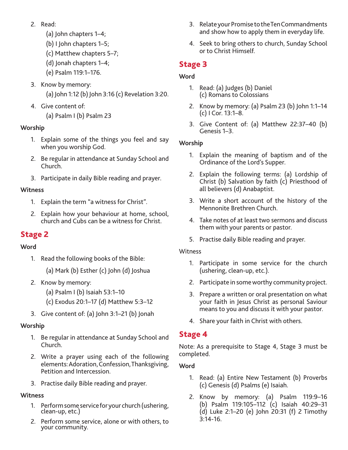- 2. Read:
	- (a) John chapters 1–4;
	- (b) I John chapters 1–5;
	- (c) Matthew chapters 5–7;
	- (d) Jonah chapters 1–4;
	- (e) Psalm 119:1–176.
- 3. Know by memory: (a) John 1:12 (b) John 3:16 (c) Revelation 3:20.
- 4. Give content of:

(a) Psalm I (b) Psalm 23

### **Worship**

- 1. Explain some of the things you feel and say when you worship God.
- 2. Be regular in attendance at Sunday School and Church.
- 3. Participate in daily Bible reading and prayer.

### **Witness**

- 1. Explain the term "a witness for Christ".
- 2. Explain how your behaviour at home, school, church and Cubs can be a witness for Christ.

# Stage 2

### **Word**

- 1. Read the following books of the Bible:
	- (a) Mark (b) Esther (c) John (d) Joshua
- 2. Know by memory:
	- (a) Psalm I (b) Isaiah 53:1–10
	- (c) Exodus 20:1–17 (d) Matthew 5:3–12
- 3. Give content of: (a) John 3:1–21 (b) Jonah

### **Worship**

- 1. Be regular in attendance at Sunday School and Church.
- 2. Write a prayer using each of the following elements: Adoration, Confession, Thanksgiving, Petition and Intercession.
- 3. Practise daily Bible reading and prayer.

### **Witness**

- 1. Perform some service for your church (ushering, clean-up, etc.)
- 2. Perform some service, alone or with others, to your community.
- 3. Relate your Promise to the Ten Commandments and show how to apply them in everyday life.
- 4. Seek to bring others to church, Sunday School or to Christ Himself.

# Stage 3

### **Word**

- 1. Read: (a) Judges (b) Daniel (c) Romans to Colossians
- 2. Know by memory: (a) Psalm 23 (b) John 1:1–14 (c) I Cor. 13:1–8.
- 3. Give Content of: (a) Matthew 22:37–40 (b) Genesis 1–3.

### **Worship**

- 1. Explain the meaning of baptism and of the Ordinance of the Lord's Supper.
- 2. Explain the following terms: (a) Lordship of Christ (b) Salvation by faith (c) Priesthood of all believers (d) Anabaptist.
- 3. Write a short account of the history of the Mennonite Brethren Church.
- 4. Take notes of at least two sermons and discuss them with your parents or pastor.
- 5. Practise daily Bible reading and prayer.

### Witness

- 1. Participate in some service for the church (ushering, clean-up, etc.).
- 2. Participate in some worthy community project.
- 3. Prepare a written or oral presentation on what your faith in Jesus Christ as personal Saviour means to you and discuss it with your pastor.
- 4. Share your faith in Christ with others.

# Stage 4

Note: As a prerequisite to Stage 4, Stage 3 must be completed.

### **Word**

- 1. Read: (a) Entire New Testament (b) Proverbs (c) Genesis (d) Psalms (e) Isaiah.
- 2. Know by memory: (a) Psalm 119:9–16 (b) Psalm 119:105–112 (c) Isaiah 40:29–31 (d) Luke 2:1–20 (e) John 20:31 (f) 2 Timothy 3:14-16.